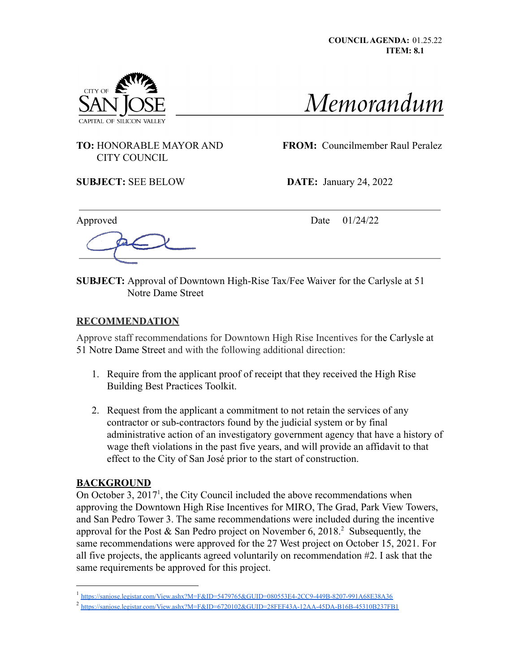



## CITY COUNCIL

**TO:** HONORABLE MAYOR AND **FROM:** Councilmember Raul Peralez

**SUBJECT:** SEE BELOW **DATE:** January 24, 2022

Approved Date 01/24/22

**SUBJECT:** Approval of Downtown High-Rise Tax/Fee Waiver for the Carlysle at 51 Notre Dame Street

## **RECOMMENDATION**

Approve staff recommendations for Downtown High Rise Incentives for the Carlysle at 51 Notre Dame Street and with the following additional direction:

- 1. Require from the applicant proof of receipt that they received the High Rise Building Best Practices Toolkit.
- 2. Request from the applicant a commitment to not retain the services of any contractor or sub-contractors found by the judicial system or by final administrative action of an investigatory government agency that have a history of wage theft violations in the past five years, and will provide an affidavit to that effect to the City of San José prior to the start of construction.

## **BACKGROUND**

On October 3,  $2017<sup>1</sup>$ , the City Council included the above recommendations when approving the Downtown High Rise Incentives for MIRO, The Grad, Park View Towers, and San Pedro Tower 3. The same recommendations were included during the incentive approval for the Post  $&$  San Pedro project on November 6, 2018.<sup>2</sup> Subsequently, the same recommendations were approved for the 27 West project on October 15, 2021. For all five projects, the applicants agreed voluntarily on recommendation #2. I ask that the same requirements be approved for this project.

<sup>1</sup> [https://sanjose.legistar.com/View.ashx?M=F&ID=5479765&GUID=080553E4-2CC9-449B-8207-991A68E38A36](https://gcc02.safelinks.protection.outlook.com/?url=https%3A%2F%2Fsanjose.legistar.com%2FView.ashx%3FM%3DF%26ID%3D5479765%26GUID%3D080553E4-2CC9-449B-8207-991A68E38A36&data=04%7C01%7Cdavid.tran%40sanjoseca.gov%7Cc21277cf7a8a4ad77d5f08d98e7b0146%7C0fe33be061424f969b8d7817d5c26139%7C1%7C0%7C637697481225114656%7CUnknown%7CTWFpbGZsb3d8eyJWIjoiMC4wLjAwMDAiLCJQIjoiV2luMzIiLCJBTiI6Ik1haWwiLCJXVCI6Mn0%3D%7C1000&sdata=sSXzD5PK84gfAr%2F6I6biJpsGgG3Acqzm0lzx3eJwVPg%3D&reserved=0)

<sup>&</sup>lt;sup>2</sup> <https://sanjose.legistar.com/View.ashx?M=F&ID=6720102&GUID=28FEF43A-12AA-45DA-B16B-45310B237FB1>